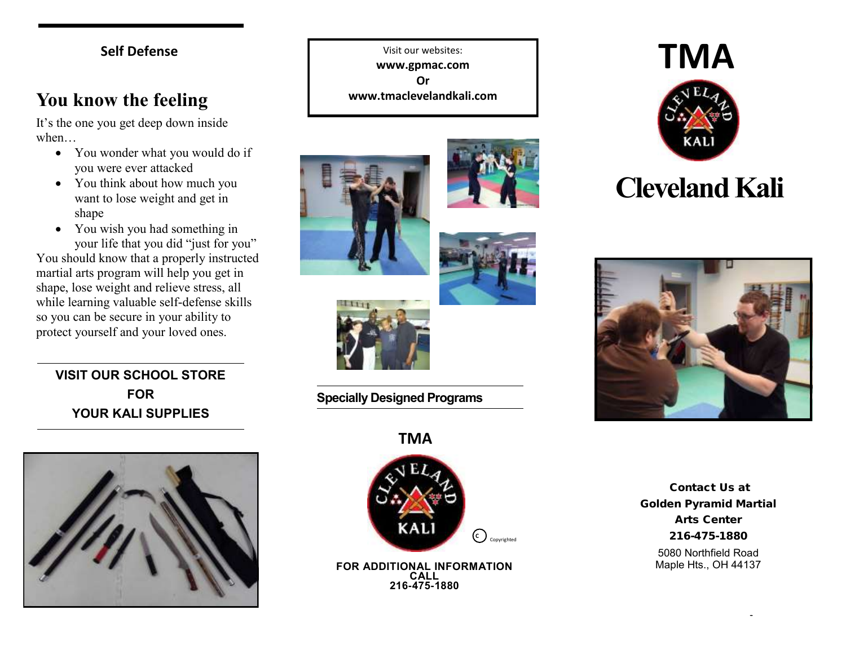#### **Self Defense**

### **You know the feeling**

It's the one you get deep down inside when…

- You wonder what you would do if you were ever attacked
- You think about how much you want to lose weight and get in shape
- You wish you had something in your life that you did "just for you"

You should know that a properly instructed martial arts program will help you get in shape, lose weight and relieve stress, all while learning valuable self-defense skills so you can be secure in your ability to protect yourself and your loved ones.

#### **VISIT OUR SCHOOL STORE FOR YOUR KALI SUPPLIES**



Visit our websites: **www.gpmac.com Or www.tmaclevelandkali.com**







**Specially Designed Programs**



**FOR ADDITIONAL INFORMATION CALL 216-475-1880**



# **Cleveland Kali**



Contact Us at Golden Pyramid Martial Arts Center 216-475-1880 5080 Northfield Road

Maple Hts., OH 44137